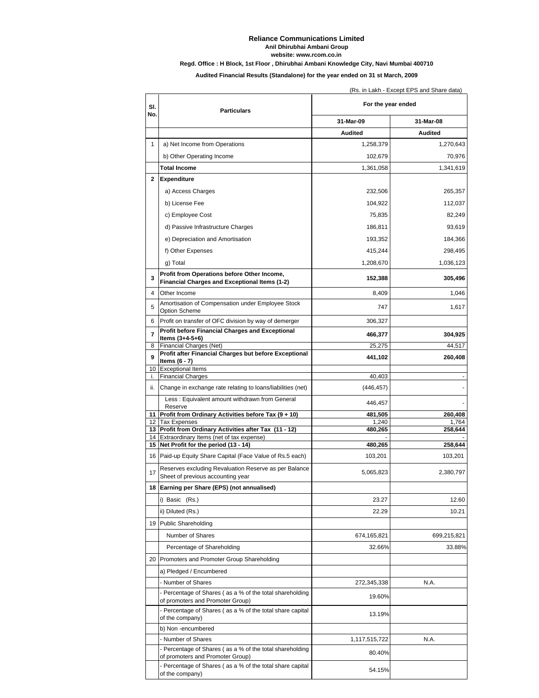## **Reliance Communications Limited Anil Dhirubhai Ambani Group Regd. Office : H Block, 1st Floor , Dhirubhai Ambani Knowledge City, Navi Mumbai 400710 website: www.rcom.co.in**

**Audited Financial Results (Standalone) for the year ended on 31 st March, 2009**

|              |                                                                                                       | (Rs. in Lakh - Except EPS and Share data) |             |  |
|--------------|-------------------------------------------------------------------------------------------------------|-------------------------------------------|-------------|--|
| SI.<br>No.   | <b>Particulars</b>                                                                                    | For the year ended                        |             |  |
|              |                                                                                                       | 31-Mar-09                                 | 31-Mar-08   |  |
|              |                                                                                                       | <b>Audited</b>                            | Audited     |  |
| $\mathbf{1}$ | a) Net Income from Operations                                                                         | 1,258,379                                 | 1,270,643   |  |
|              | b) Other Operating Income                                                                             | 102,679                                   | 70,976      |  |
|              | Total Income                                                                                          | 1,361,058                                 | 1,341,619   |  |
| 2            | <b>Expenditure</b>                                                                                    |                                           |             |  |
|              | a) Access Charges                                                                                     | 232,506                                   | 265,357     |  |
|              | b) License Fee                                                                                        | 104,922                                   | 112,037     |  |
|              | c) Employee Cost                                                                                      | 75,835                                    | 82,249      |  |
|              | d) Passive Infrastructure Charges                                                                     | 186,811                                   | 93,619      |  |
|              | e) Depreciation and Amortisation                                                                      | 193,352                                   | 184,366     |  |
|              |                                                                                                       |                                           |             |  |
|              | f) Other Expenses                                                                                     | 415,244                                   | 298,495     |  |
|              | g) Total                                                                                              | 1,208,670                                 | 1,036,123   |  |
| 3            | Profit from Operations before Other Income,<br>Financial Charges and Exceptional Items (1-2)          | 152,388                                   | 305,496     |  |
| 4            | Other Income                                                                                          | 8,409                                     | 1,046       |  |
|              | Amortisation of Compensation under Employee Stock                                                     |                                           |             |  |
| 5            | Option Scheme                                                                                         | 747                                       | 1,617       |  |
| 6            | Profit on transfer of OFC division by way of demerger                                                 | 306,327                                   |             |  |
| 7            | <b>Profit before Financial Charges and Exceptional</b><br>Items $(3+4-5+6)$                           | 466,377                                   | 304,925     |  |
| 8            | Financial Charges (Net)                                                                               | 25,275                                    | 44,517      |  |
| 9            | Profit after Financial Charges but before Exceptional<br>Items $(6 - 7)$                              | 441,102                                   | 260,408     |  |
|              | 10 Exceptional Items                                                                                  |                                           |             |  |
| i.           | <b>Financial Charges</b>                                                                              | 40,403                                    |             |  |
| ii.          | Change in exchange rate relating to loans/liabilities (net)                                           | (446, 457)                                |             |  |
|              | Less: Equivalent amount withdrawn from General                                                        | 446,457                                   |             |  |
|              | Reserve<br>11 Profit from Ordinary Activities before Tax (9 + 10)                                     | 481,505                                   | 260,408     |  |
|              | 12 Tax Expenses                                                                                       | 1,240                                     | 1,764       |  |
|              | 13 Profit from Ordinary Activities after Tax (11 - 12)<br>14 Extraordinary Items (net of tax expense) | 480,265                                   | 258,644     |  |
|              | 15 Net Profit for the period (13 - 14)                                                                | 480,265                                   | 258,644     |  |
|              | 16 Paid-up Equity Share Capital (Face Value of Rs.5 each)                                             | 103,201                                   | 103,201     |  |
| 17           | Reserves excluding Revaluation Reserve as per Balance<br>Sheet of previous accounting year            | 5,065,823                                 | 2,380,797   |  |
|              | 18 Earning per Share (EPS) (not annualised)                                                           |                                           |             |  |
|              | i) Basic (Rs.)                                                                                        | 23.27                                     | 12.60       |  |
|              | ii) Diluted (Rs.)                                                                                     | 22.29                                     | 10.21       |  |
|              | 19 Public Shareholding                                                                                |                                           |             |  |
|              | Number of Shares                                                                                      | 674,165,821                               | 699,215,821 |  |
|              | Percentage of Shareholding                                                                            | 32.66%                                    | 33.88%      |  |
|              | 20 Promoters and Promoter Group Shareholding                                                          |                                           |             |  |
|              | a) Pledged / Encumbered                                                                               |                                           |             |  |
|              | - Number of Shares                                                                                    | 272,345,338                               | N.A.        |  |
|              | - Percentage of Shares (as a % of the total shareholding                                              |                                           |             |  |
|              | of promoters and Promoter Group)                                                                      | 19.60%                                    |             |  |
|              | - Percentage of Shares (as a % of the total share capital<br>of the company)                          | 13.19%                                    |             |  |
|              | b) Non -encumbered                                                                                    |                                           |             |  |
|              | - Number of Shares                                                                                    | 1,117,515,722                             | N.A.        |  |
|              | - Percentage of Shares (as a % of the total shareholding<br>of promoters and Promoter Group)          | 80.40%                                    |             |  |
|              | - Percentage of Shares (as a % of the total share capital<br>of the company)                          | 54.15%                                    |             |  |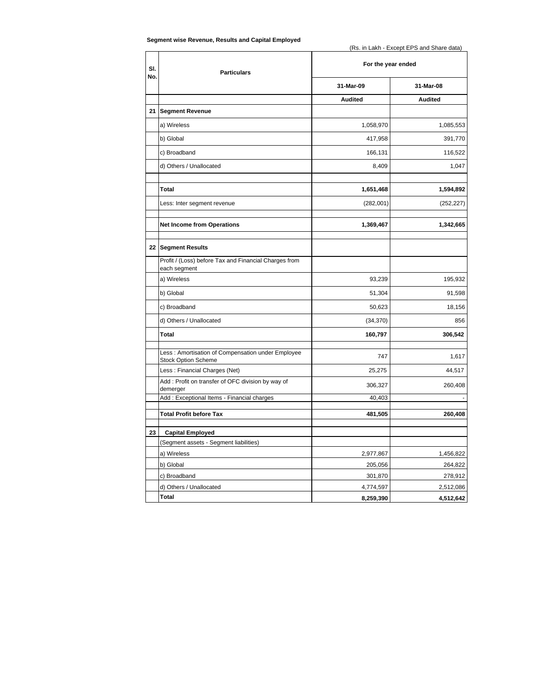| Segment wise Revenue, Results and Capital Employed |  |  |
|----------------------------------------------------|--|--|
|----------------------------------------------------|--|--|

(Rs. in Lakh - Except EPS and Share data)

| SI.<br>No. | <b>Particulars</b>                                                              | For the year ended |                |
|------------|---------------------------------------------------------------------------------|--------------------|----------------|
|            |                                                                                 | 31-Mar-09          | 31-Mar-08      |
|            |                                                                                 | <b>Audited</b>     | <b>Audited</b> |
| 21         | <b>Segment Revenue</b>                                                          |                    |                |
|            | a) Wireless                                                                     | 1,058,970          | 1,085,553      |
|            | b) Global                                                                       | 417,958            | 391,770        |
|            | c) Broadband                                                                    | 166,131            | 116,522        |
|            | d) Others / Unallocated                                                         | 8,409              | 1,047          |
|            |                                                                                 |                    |                |
|            | Total                                                                           | 1,651,468          | 1,594,892      |
|            | Less: Inter segment revenue                                                     | (282,001)          | (252, 227)     |
|            | <b>Net Income from Operations</b>                                               | 1,369,467          | 1,342,665      |
|            |                                                                                 |                    |                |
|            | 22 Segment Results                                                              |                    |                |
|            | Profit / (Loss) before Tax and Financial Charges from<br>each segment           |                    |                |
|            | a) Wireless                                                                     | 93,239             | 195,932        |
|            | b) Global                                                                       | 51,304             | 91,598         |
|            | c) Broadband                                                                    | 50,623             | 18,156         |
|            | d) Others / Unallocated                                                         | (34, 370)          | 856            |
|            | <b>Total</b>                                                                    | 160,797            | 306,542        |
|            | Less: Amortisation of Compensation under Employee<br><b>Stock Option Scheme</b> | 747                | 1,617          |
|            | Less: Financial Charges (Net)                                                   | 25,275             | 44,517         |
|            | Add: Profit on transfer of OFC division by way of<br>demerger                   | 306,327            | 260,408        |
|            | Add: Exceptional Items - Financial charges                                      | 40,403             |                |
|            | <b>Total Profit before Tax</b>                                                  | 481,505            | 260,408        |
|            |                                                                                 |                    |                |
| 23         | <b>Capital Employed</b><br>(Segment assets - Segment liabilities)               |                    |                |
|            | a) Wireless                                                                     | 2,977,867          | 1,456,822      |
|            | b) Global                                                                       | 205,056            | 264,822        |
|            | c) Broadband                                                                    | 301,870            | 278,912        |
|            | d) Others / Unallocated                                                         | 4,774,597          | 2,512,086      |
|            | <b>Total</b>                                                                    | 8,259,390          | 4,512,642      |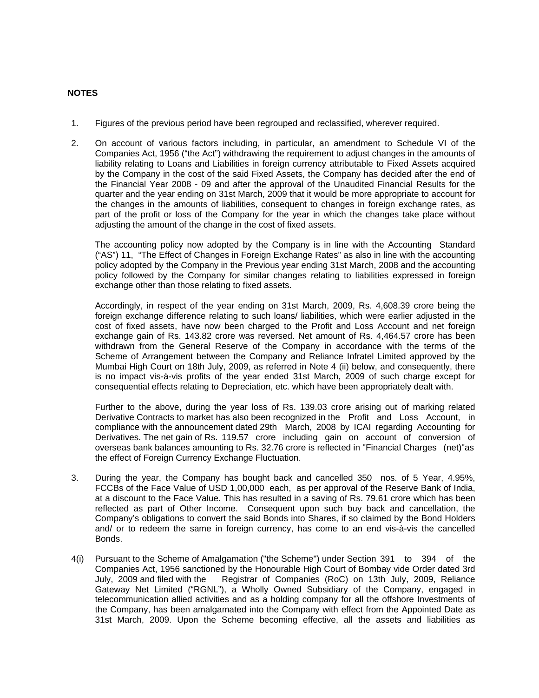## **NOTES**

- 1. Figures of the previous period have been regrouped and reclassified, wherever required.
- 2. On account of various factors including, in particular, an amendment to Schedule VI of the Companies Act, 1956 ("the Act") withdrawing the requirement to adjust changes in the amounts of liability relating to Loans and Liabilities in foreign currency attributable to Fixed Assets acquired by the Company in the cost of the said Fixed Assets, the Company has decided after the end of the Financial Year 2008 - 09 and after the approval of the Unaudited Financial Results for the quarter and the year ending on 31st March, 2009 that it would be more appropriate to account for the changes in the amounts of liabilities, consequent to changes in foreign exchange rates, as part of the profit or loss of the Company for the year in which the changes take place without adjusting the amount of the change in the cost of fixed assets.

The accounting policy now adopted by the Company is in line with the Accounting Standard ("AS") 11, "The Effect of Changes in Foreign Exchange Rates" as also in line with the accounting policy adopted by the Company in the Previous year ending 31st March, 2008 and the accounting policy followed by the Company for similar changes relating to liabilities expressed in foreign exchange other than those relating to fixed assets.

Accordingly, in respect of the year ending on 31st March, 2009, Rs. 4,608.39 crore being the foreign exchange difference relating to such loans/ liabilities, which were earlier adjusted in the cost of fixed assets, have now been charged to the Profit and Loss Account and net foreign exchange gain of Rs. 143.82 crore was reversed. Net amount of Rs. 4,464.57 crore has been withdrawn from the General Reserve of the Company in accordance with the terms of the Scheme of Arrangement between the Company and Reliance Infratel Limited approved by the Mumbai High Court on 18th July, 2009, as referred in Note 4 (ii) below, and consequently, there is no impact vis-à-vis profits of the year ended 31st March, 2009 of such charge except for consequential effects relating to Depreciation, etc. which have been appropriately dealt with.

 Further to the above, during the year loss of Rs. 139.03 crore arising out of marking related Derivative Contracts to market has also been recognized in the Profit and Loss Account, in compliance with the announcement dated 29th March, 2008 by ICAI regarding Accounting for Derivatives. The net gain of Rs. 119.57 crore including gain on account of conversion of overseas bank balances amounting to Rs. 32.76 crore is reflected in "Financial Charges (net)"as the effect of Foreign Currency Exchange Fluctuation.

- 3. During the year, the Company has bought back and cancelled 350 nos. of 5 Year, 4.95%, FCCBs of the Face Value of USD 1,00,000 each, as per approval of the Reserve Bank of India, at a discount to the Face Value. This has resulted in a saving of Rs. 79.61 crore which has been reflected as part of Other Income. Consequent upon such buy back and cancellation, the Company's obligations to convert the said Bonds into Shares, if so claimed by the Bond Holders and/ or to redeem the same in foreign currency, has come to an end vis-à-vis the cancelled Bonds.
- 4(i) Pursuant to the Scheme of Amalgamation ("the Scheme") under Section 391 to 394 of the Companies Act, 1956 sanctioned by the Honourable High Court of Bombay vide Order dated 3rd July, 2009 and filed with the Registrar of Companies (RoC) on 13th July, 2009, Reliance Gateway Net Limited ("RGNL"), a Wholly Owned Subsidiary of the Company, engaged in telecommunication allied activities and as a holding company for all the offshore Investments of the Company, has been amalgamated into the Company with effect from the Appointed Date as 31st March, 2009. Upon the Scheme becoming effective, all the assets and liabilities as